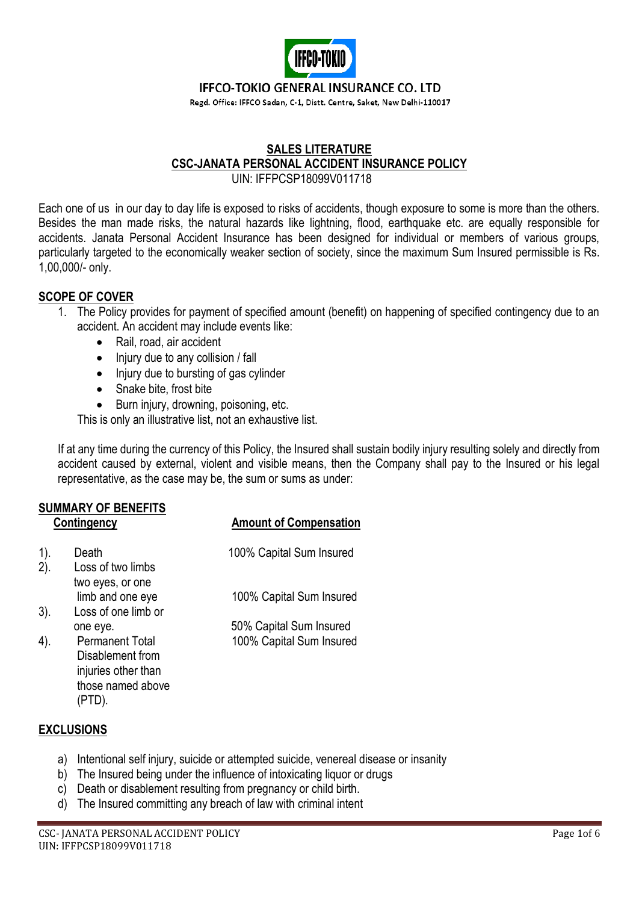

### **IFFCO-TOKIO GENERAL INSURANCE CO. LTD**

Regd. Office: IFFCO Sadan, C-1, Distt. Centre, Saket, New Delhi-110017

# **SALES LITERATURE CSC-JANATA PERSONAL ACCIDENT INSURANCE POLICY**

UIN: IFFPCSP18099V011718

Each one of us in our day to day life is exposed to risks of accidents, though exposure to some is more than the others. Besides the man made risks, the natural hazards like lightning, flood, earthquake etc. are equally responsible for accidents. Janata Personal Accident Insurance has been designed for individual or members of various groups, particularly targeted to the economically weaker section of society, since the maximum Sum Insured permissible is Rs. 1,00,000/- only.

# **SCOPE OF COVER**

- 1. The Policy provides for payment of specified amount (benefit) on happening of specified contingency due to an accident. An accident may include events like:
	- Rail, road, air accident
	- Injury due to any collision / fall
	- Injury due to bursting of gas cylinder
	- Snake bite, frost bite
	- Burn injury, drowning, poisoning, etc.

This is only an illustrative list, not an exhaustive list.

If at any time during the currency of this Policy, the Insured shall sustain bodily injury resulting solely and directly from accident caused by external, violent and visible means, then the Company shall pay to the Insured or his legal representative, as the case may be, the sum or sums as under:

 **Contingency Amount of Compensation**

# **SUMMARY OF BENEFITS**

| oonungenoy |                                                                                        | <b>AIIIVAIII VI VUIIIPEIISAUVII</b> |  |
|------------|----------------------------------------------------------------------------------------|-------------------------------------|--|
| 1).<br>2). | Death<br>Loss of two limbs<br>two eyes, or one                                         | 100% Capital Sum Insured            |  |
|            | limb and one eye                                                                       | 100% Capital Sum Insured            |  |
| 3).        | Loss of one limb or<br>one eye.                                                        | 50% Capital Sum Insured             |  |
| 4).        | <b>Permanent Total</b><br>Disablement from<br>injuries other than<br>those named above | 100% Capital Sum Insured            |  |

# **EXCLUSIONS**

(PTD).

- a) Intentional self injury, suicide or attempted suicide, venereal disease or insanity
- b) The Insured being under the influence of intoxicating liquor or drugs
- c) Death or disablement resulting from pregnancy or child birth.
- d) The Insured committing any breach of law with criminal intent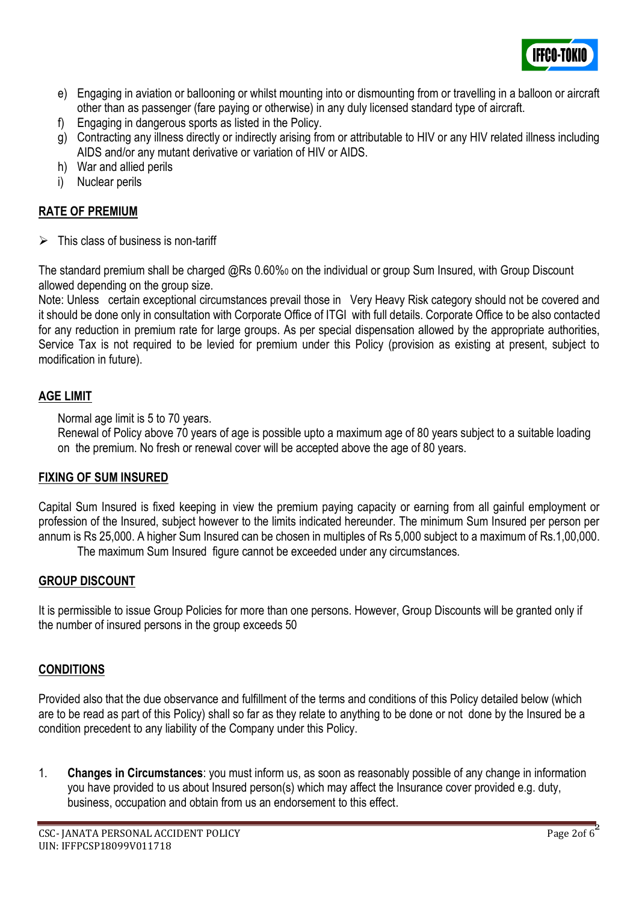

- e) Engaging in aviation or ballooning or whilst mounting into or dismounting from or travelling in a balloon or aircraft other than as passenger (fare paying or otherwise) in any duly licensed standard type of aircraft.
- f) Engaging in dangerous sports as listed in the Policy.
- g) Contracting any illness directly or indirectly arising from or attributable to HIV or any HIV related illness including AIDS and/or any mutant derivative or variation of HIV or AIDS.
- h) War and allied perils
- i) Nuclear perils

# **RATE OF PREMIUM**

➢ This class of business is non-tariff

The standard premium shall be charged @Rs 0.60%<sup>0</sup> on the individual or group Sum Insured, with Group Discount allowed depending on the group size.

Note: Unless certain exceptional circumstances prevail those in Very Heavy Risk category should not be covered and it should be done only in consultation with Corporate Office of ITGI with full details. Corporate Office to be also contacted for any reduction in premium rate for large groups. As per special dispensation allowed by the appropriate authorities, Service Tax is not required to be levied for premium under this Policy (provision as existing at present, subject to modification in future).

# **AGE LIMIT**

Normal age limit is 5 to 70 years.

Renewal of Policy above 70 years of age is possible upto a maximum age of 80 years subject to a suitable loading on the premium. No fresh or renewal cover will be accepted above the age of 80 years.

# **FIXING OF SUM INSURED**

Capital Sum Insured is fixed keeping in view the premium paying capacity or earning from all gainful employment or profession of the Insured, subject however to the limits indicated hereunder. The minimum Sum Insured per person per annum is Rs 25,000. A higher Sum Insured can be chosen in multiples of Rs 5,000 subject to a maximum of Rs.1,00,000.

The maximum Sum Insured figure cannot be exceeded under any circumstances.

# **GROUP DISCOUNT**

It is permissible to issue Group Policies for more than one persons. However, Group Discounts will be granted only if the number of insured persons in the group exceeds 50

# **CONDITIONS**

Provided also that the due observance and fulfillment of the terms and conditions of this Policy detailed below (which are to be read as part of this Policy) shall so far as they relate to anything to be done or not done by the Insured be a condition precedent to any liability of the Company under this Policy.

1. **Changes in Circumstances**: you must inform us, as soon as reasonably possible of any change in information you have provided to us about Insured person(s) which may affect the Insurance cover provided e.g. duty, business, occupation and obtain from us an endorsement to this effect.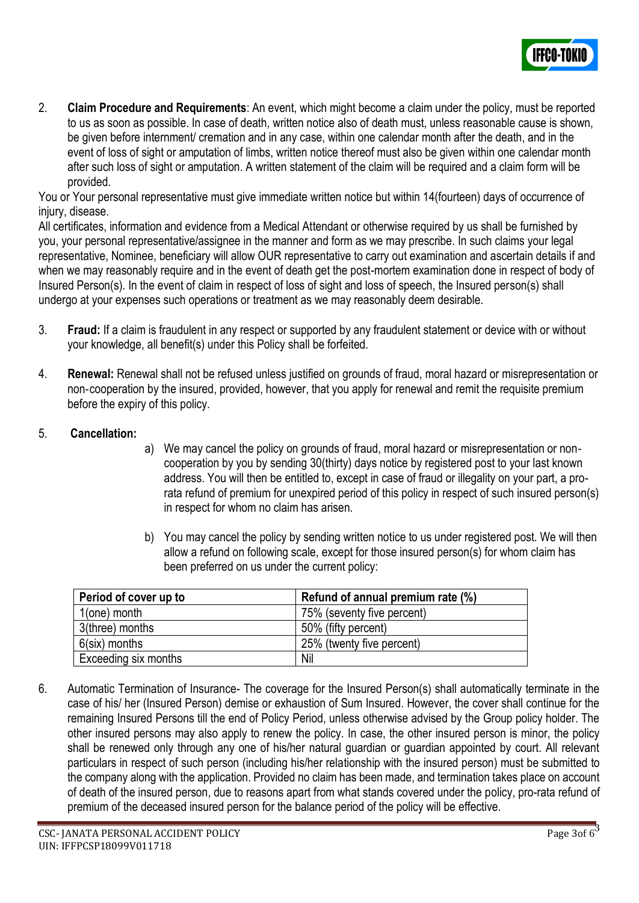

2. **Claim Procedure and Requirements**: An event, which might become a claim under the policy, must be reported to us as soon as possible. In case of death, written notice also of death must, unless reasonable cause is shown, be given before internment/ cremation and in any case, within one calendar month after the death, and in the event of loss of sight or amputation of limbs, written notice thereof must also be given within one calendar month after such loss of sight or amputation. A written statement of the claim will be required and a claim form will be provided.

You or Your personal representative must give immediate written notice but within 14(fourteen) days of occurrence of injury, disease.

All certificates, information and evidence from a Medical Attendant or otherwise required by us shall be furnished by you, your personal representative/assignee in the manner and form as we may prescribe. In such claims your legal representative, Nominee, beneficiary will allow OUR representative to carry out examination and ascertain details if and when we may reasonably require and in the event of death get the post-mortem examination done in respect of body of Insured Person(s). In the event of claim in respect of loss of sight and loss of speech, the Insured person(s) shall undergo at your expenses such operations or treatment as we may reasonably deem desirable.

- 3. **Fraud:** If a claim is fraudulent in any respect or supported by any fraudulent statement or device with or without your knowledge, all benefit(s) under this Policy shall be forfeited.
- 4. **Renewal:** Renewal shall not be refused unless justified on grounds of fraud, moral hazard or misrepresentation or non‐cooperation by the insured, provided, however, that you apply for renewal and remit the requisite premium before the expiry of this policy.
- 5. **Cancellation:**
- a) We may cancel the policy on grounds of fraud, moral hazard or misrepresentation or non‐ cooperation by you by sending 30(thirty) days notice by registered post to your last known address. You will then be entitled to, except in case of fraud or illegality on your part, a prorata refund of premium for unexpired period of this policy in respect of such insured person(s) in respect for whom no claim has arisen.
- b) You may cancel the policy by sending written notice to us under registered post. We will then allow a refund on following scale, except for those insured person(s) for whom claim has been preferred on us under the current policy:

| Period of cover up to | Refund of annual premium rate (%) |
|-----------------------|-----------------------------------|
| $1$ (one) month       | 75% (seventy five percent)        |
| 3(three) months       | 50% (fifty percent)               |
| $6$ (six) months      | 25% (twenty five percent)         |
| Exceeding six months  | Nil                               |

6. Automatic Termination of Insurance- The coverage for the Insured Person(s) shall automatically terminate in the case of his/ her (Insured Person) demise or exhaustion of Sum Insured. However, the cover shall continue for the remaining Insured Persons till the end of Policy Period, unless otherwise advised by the Group policy holder. The other insured persons may also apply to renew the policy. In case, the other insured person is minor, the policy shall be renewed only through any one of his/her natural guardian or guardian appointed by court. All relevant particulars in respect of such person (including his/her relationship with the insured person) must be submitted to the company along with the application. Provided no claim has been made, and termination takes place on account of death of the insured person, due to reasons apart from what stands covered under the policy, pro-rata refund of premium of the deceased insured person for the balance period of the policy will be effective.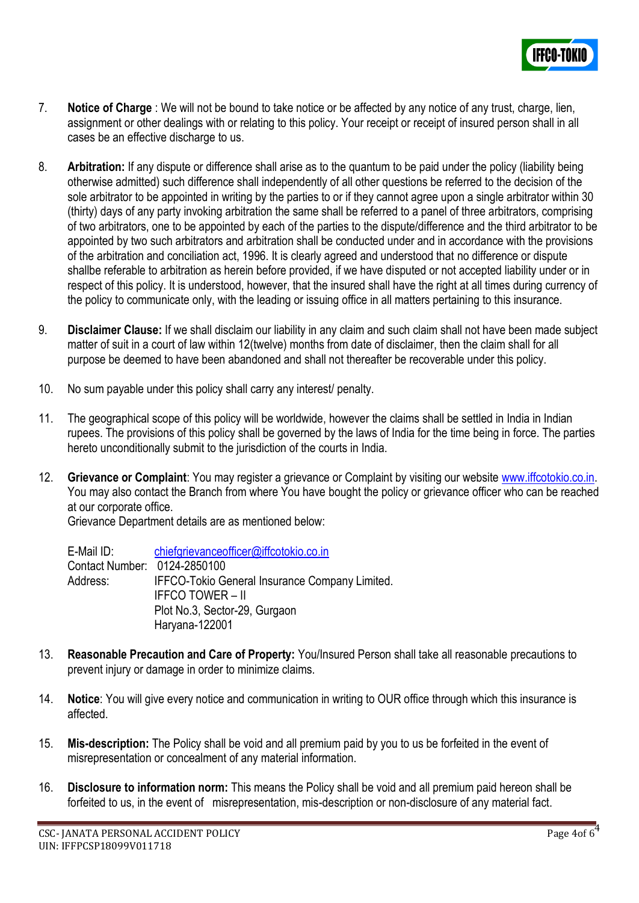

- 7. **Notice of Charge** : We will not be bound to take notice or be affected by any notice of any trust, charge, lien, assignment or other dealings with or relating to this policy. Your receipt or receipt of insured person shall in all cases be an effective discharge to us.
- 8. **Arbitration:** If any dispute or difference shall arise as to the quantum to be paid under the policy (liability being otherwise admitted) such difference shall independently of all other questions be referred to the decision of the sole arbitrator to be appointed in writing by the parties to or if they cannot agree upon a single arbitrator within 30 (thirty) days of any party invoking arbitration the same shall be referred to a panel of three arbitrators, comprising of two arbitrators, one to be appointed by each of the parties to the dispute/difference and the third arbitrator to be appointed by two such arbitrators and arbitration shall be conducted under and in accordance with the provisions of the arbitration and conciliation act, 1996. It is clearly agreed and understood that no difference or dispute shallbe referable to arbitration as herein before provided, if we have disputed or not accepted liability under or in respect of this policy. It is understood, however, that the insured shall have the right at all times during currency of the policy to communicate only, with the leading or issuing office in all matters pertaining to this insurance.
- 9. **Disclaimer Clause:** If we shall disclaim our liability in any claim and such claim shall not have been made subject matter of suit in a court of law within 12(twelve) months from date of disclaimer, then the claim shall for all purpose be deemed to have been abandoned and shall not thereafter be recoverable under this policy.
- 10. No sum payable under this policy shall carry any interest/ penalty.
- 11. The geographical scope of this policy will be worldwide, however the claims shall be settled in India in Indian rupees. The provisions of this policy shall be governed by the laws of India for the time being in force. The parties hereto unconditionally submit to the jurisdiction of the courts in India.
- 12. **Grievance or Complaint**: You may register a grievance or Complaint by visiting our website [www.iffcotokio.co.in.](http://www.iffcotokio.co.in/) You may also contact the Branch from where You have bought the policy or grievance officer who can be reached at our corporate office.

Grievance Department details are as mentioned below:

E-Mail ID: [chiefgrievanceofficer@iffcotokio.co.in](mailto:chiefgrievanceofficer@iffcotokio.co.in) Contact Number: 0124-2850100 Address: IFFCO-Tokio General Insurance Company Limited. IFFCO TOWER – II Plot No.3, Sector-29, Gurgaon Haryana-122001

- 13. **Reasonable Precaution and Care of Property:** You/Insured Person shall take all reasonable precautions to prevent injury or damage in order to minimize claims.
- 14. **Notice**: You will give every notice and communication in writing to OUR office through which this insurance is affected.
- 15. **Mis-description:** The Policy shall be void and all premium paid by you to us be forfeited in the event of misrepresentation or concealment of any material information.
- 16. **Disclosure to information norm:** This means the Policy shall be void and all premium paid hereon shall be forfeited to us, in the event of misrepresentation, mis-description or non-disclosure of any material fact.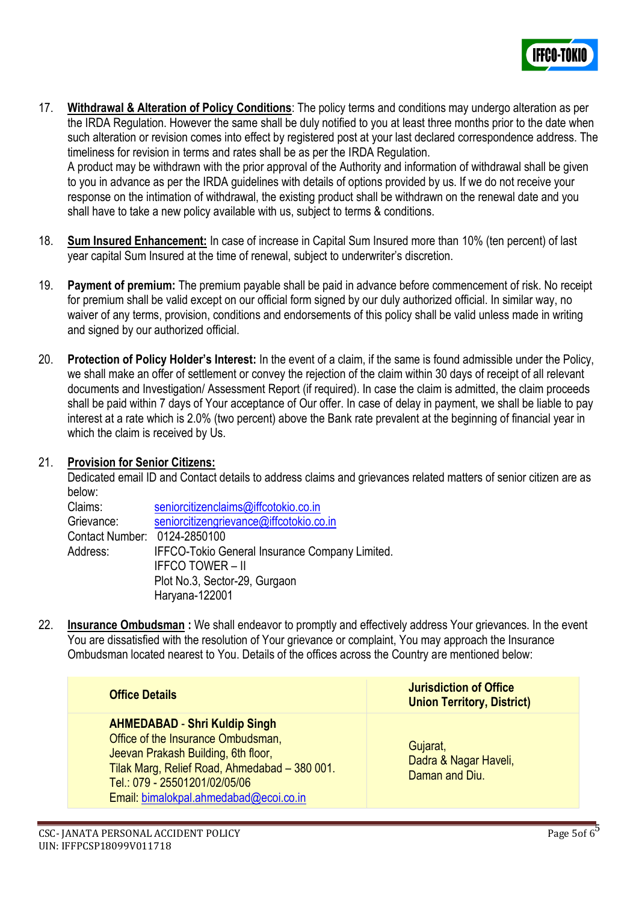

17. **Withdrawal & Alteration of Policy Conditions**: The policy terms and conditions may undergo alteration as per the IRDA Regulation. However the same shall be duly notified to you at least three months prior to the date when such alteration or revision comes into effect by registered post at your last declared correspondence address. The timeliness for revision in terms and rates shall be as per the IRDA Regulation.

A product may be withdrawn with the prior approval of the Authority and information of withdrawal shall be given to you in advance as per the IRDA guidelines with details of options provided by us. If we do not receive your response on the intimation of withdrawal, the existing product shall be withdrawn on the renewal date and you shall have to take a new policy available with us, subject to terms & conditions.

- 18. **Sum Insured Enhancement:** In case of increase in Capital Sum Insured more than 10% (ten percent) of last year capital Sum Insured at the time of renewal, subject to underwriter's discretion.
- 19. **Payment of premium:** The premium payable shall be paid in advance before commencement of risk. No receipt for premium shall be valid except on our official form signed by our duly authorized official. In similar way, no waiver of any terms, provision, conditions and endorsements of this policy shall be valid unless made in writing and signed by our authorized official.
- 20. **Protection of Policy Holder's Interest:** In the event of a claim, if the same is found admissible under the Policy, we shall make an offer of settlement or convey the rejection of the claim within 30 days of receipt of all relevant documents and Investigation/ Assessment Report (if required). In case the claim is admitted, the claim proceeds shall be paid within 7 days of Your acceptance of Our offer. In case of delay in payment, we shall be liable to pay interest at a rate which is 2.0% (two percent) above the Bank rate prevalent at the beginning of financial year in which the claim is received by Us.

#### 21. **Provision for Senior Citizens:**

Dedicated email ID and Contact details to address claims and grievances related matters of senior citizen are as below:

| Claims:                      | seniorcitizenclaims@iffcotokio.co.in           |
|------------------------------|------------------------------------------------|
| Grievance:                   | seniorcitizengrievance@iffcotokio.co.in        |
| Contact Number: 0124-2850100 |                                                |
| Address:                     | IFFCO-Tokio General Insurance Company Limited. |
|                              | <b>IFFCO TOWER – II</b>                        |
|                              | Plot No.3, Sector-29, Gurgaon                  |
|                              | Haryana-122001                                 |

22. **Insurance Ombudsman :** We shall endeavor to promptly and effectively address Your grievances. In the event You are dissatisfied with the resolution of Your grievance or complaint, You may approach the Insurance Ombudsman located nearest to You. Details of the offices across the Country are mentioned below:

| <b>Office Details</b>                                                                                                                                                                                                                         | <b>Jurisdiction of Office</b><br><b>Union Territory, District)</b> |
|-----------------------------------------------------------------------------------------------------------------------------------------------------------------------------------------------------------------------------------------------|--------------------------------------------------------------------|
| <b>AHMEDABAD - Shri Kuldip Singh</b><br>Office of the Insurance Ombudsman,<br>Jeevan Prakash Building, 6th floor,<br>Tilak Marg, Relief Road, Ahmedabad - 380 001.<br>Tel.: 079 - 25501201/02/05/06<br>Email: bimalokpal.ahmedabad@ecoi.co.in | Gujarat,<br>Dadra & Nagar Haveli,<br>Daman and Diu.                |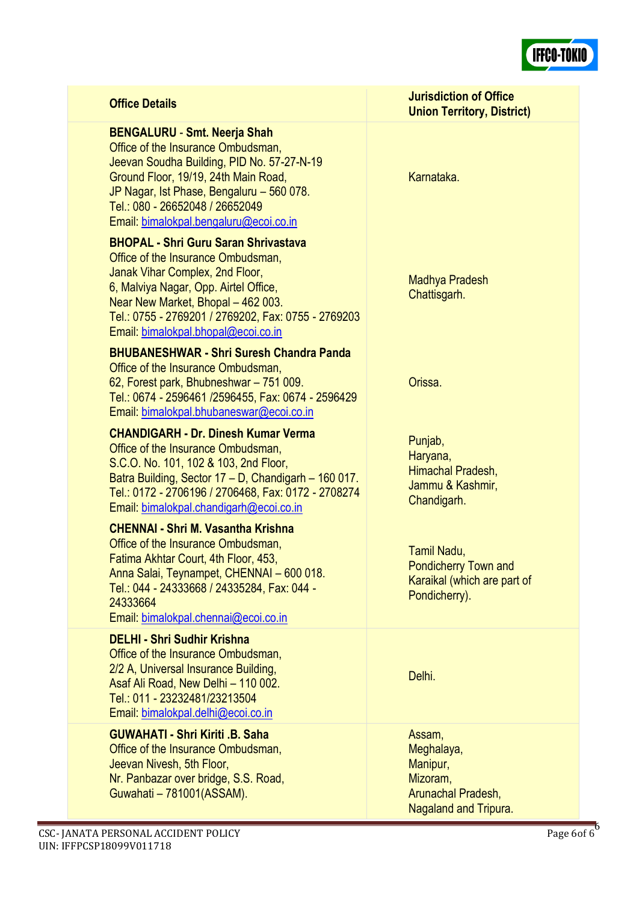

| <b>Office Details</b>                                                                                                                                                                                                                                                                             | <b>Jurisdiction of Office</b><br><b>Union Territory, District)</b>                                 |
|---------------------------------------------------------------------------------------------------------------------------------------------------------------------------------------------------------------------------------------------------------------------------------------------------|----------------------------------------------------------------------------------------------------|
| <b>BENGALURU - Smt. Neerja Shah</b><br>Office of the Insurance Ombudsman,<br>Jeevan Soudha Building, PID No. 57-27-N-19<br>Ground Floor, 19/19, 24th Main Road,<br>JP Nagar, Ist Phase, Bengaluru - 560 078.<br>Tel.: 080 - 26652048 / 26652049<br>Email: bimalokpal.bengaluru@ecoi.co.in         | Karnataka.                                                                                         |
| <b>BHOPAL - Shri Guru Saran Shrivastava</b><br>Office of the Insurance Ombudsman,<br>Janak Vihar Complex, 2nd Floor,<br>6, Malviya Nagar, Opp. Airtel Office,<br>Near New Market, Bhopal - 462 003.<br>Tel.: 0755 - 2769201 / 2769202, Fax: 0755 - 2769203<br>Email: bimalokpal.bhopal@ecoi.co.in | Madhya Pradesh<br>Chattisgarh.                                                                     |
| <b>BHUBANESHWAR - Shri Suresh Chandra Panda</b><br>Office of the Insurance Ombudsman,<br>62, Forest park, Bhubneshwar - 751 009.<br>Tel.: 0674 - 2596461 /2596455, Fax: 0674 - 2596429<br>Email: bimalokpal.bhubaneswar@ecoi.co.in                                                                | Orissa.                                                                                            |
| <b>CHANDIGARH - Dr. Dinesh Kumar Verma</b><br>Office of the Insurance Ombudsman,<br>S.C.O. No. 101, 102 & 103, 2nd Floor,<br>Batra Building, Sector 17 - D, Chandigarh - 160 017.<br>Tel.: 0172 - 2706196 / 2706468, Fax: 0172 - 2708274<br>Email: bimalokpal.chandigarh@ecoi.co.in               | Punjab,<br>Haryana,<br>Himachal Pradesh,<br>Jammu & Kashmir,<br>Chandigarh.                        |
| <b>CHENNAI - Shri M. Vasantha Krishna</b><br>Office of the Insurance Ombudsman,<br>Fatima Akhtar Court, 4th Floor, 453,<br>Anna Salai, Teynampet, CHENNAI - 600 018.<br>Tel.: 044 - 24333668 / 24335284, Fax: 044 -<br>24333664<br>Email: bimalokpal.chennai@ecoi.co.in                           | Tamil Nadu,<br><b>Pondicherry Town and</b><br>Karaikal (which are part of<br>Pondicherry).         |
| <b>DELHI - Shri Sudhir Krishna</b><br>Office of the Insurance Ombudsman,<br>2/2 A, Universal Insurance Building,<br>Asaf Ali Road, New Delhi - 110 002.<br>Tel.: 011 - 23232481/23213504<br>Email: bimalokpal.delhi@ecoi.co.in                                                                    | Delhi.                                                                                             |
| <b>GUWAHATI - Shri Kiriti .B. Saha</b><br>Office of the Insurance Ombudsman,<br>Jeevan Nivesh, 5th Floor,<br>Nr. Panbazar over bridge, S.S. Road,<br>Guwahati - 781001(ASSAM).                                                                                                                    | Assam,<br>Meghalaya,<br>Manipur,<br>Mizoram,<br>Arunachal Pradesh,<br><b>Nagaland and Tripura.</b> |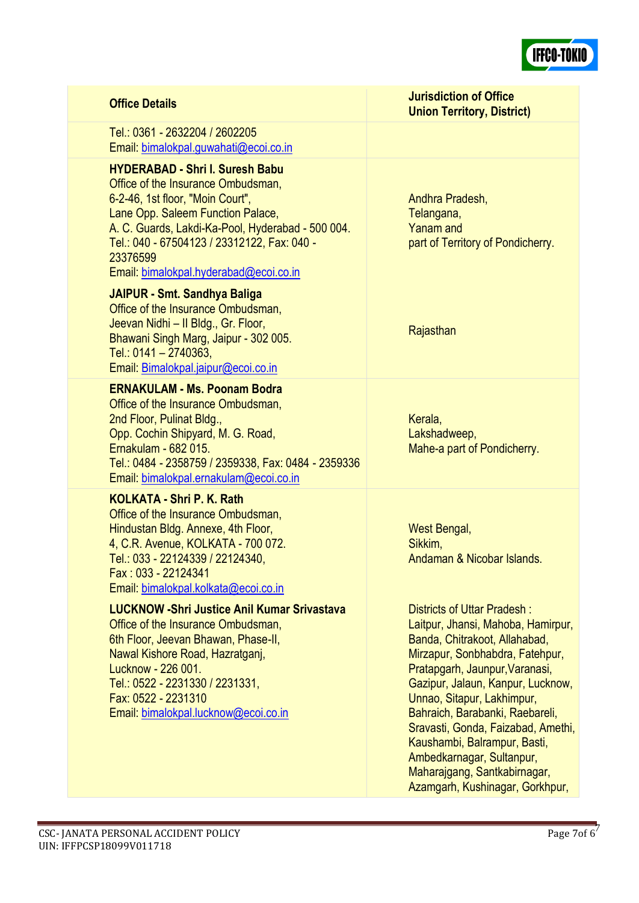

# **Office Details Jurisdiction of Office**

Tel.: 0361 - 2632204 / 2602205 Email: [bimalokpal.guwahati@ecoi.co.in](mailto:bimalokpal.guwahati@ecoi.co.in)

**HYDERABAD - Shri I. Suresh Babu**

Office of the Insurance Ombudsman, 6-2-46, 1st floor, "Moin Court", Lane Opp. Saleem Function Palace, A. C. Guards, Lakdi-Ka-Pool, Hyderabad - 500 004. Tel.: 040 - 67504123 / 23312122, Fax: 040 - 23376599 Email: [bimalokpal.hyderabad@ecoi.co.in](mailto:bimalokpal.hyderabad@ecoi.co.in)

#### **JAIPUR - Smt. Sandhya Baliga**

Office of the Insurance Ombudsman, Jeevan Nidhi – II Bldg., Gr. Floor, Bhawani Singh Marg, Jaipur - 302 005. Tel.: 0141 – 2740363, Email: [Bimalokpal.jaipur@ecoi.co.in](mailto:bimalokpal.jaipur@ecoi.co.in)

#### **ERNAKULAM - Ms. Poonam Bodra**

Office of the Insurance Ombudsman, 2nd Floor, Pulinat Bldg., Opp. Cochin Shipyard, M. G. Road, Ernakulam - 682 015. Tel.: 0484 - 2358759 / 2359338, Fax: 0484 - 2359336 Email: [bimalokpal.ernakulam@ecoi.co.in](mailto:bimalokpal.ernakulam@ecoi.co.in)

### **KOLKATA - Shri P. K. Rath**

Office of the Insurance Ombudsman, Hindustan Bldg. Annexe, 4th Floor, 4, C.R. Avenue, KOLKATA - 700 072. Tel.: 033 - 22124339 / 22124340, Fax : 033 - 22124341 Email: [bimalokpal.kolkata@ecoi.co.in](mailto:bimalokpal.kolkata@ecoi.co.in)

### **LUCKNOW -Shri Justice Anil Kumar Srivastava**

Office of the Insurance Ombudsman, 6th Floor, Jeevan Bhawan, Phase-II, Nawal Kishore Road, Hazratganj, Lucknow - 226 001. Tel.: 0522 - 2231330 / 2231331, Fax: 0522 - 2231310 Email: [bimalokpal.lucknow@ecoi.co.in](mailto:bimalokpal.lucknow@ecoi.co.in)

Andhra Pradesh, Telangana, Yanam and part of Territory of Pondicherry.

**Union Territory, District)**

**Rajasthan** 

**Kerala** Lakshadweep, Mahe-a part of Pondicherry.

West Bengal, Sikkim, Andaman & Nicobar Islands.

Districts of Uttar Pradesh : Laitpur, Jhansi, Mahoba, Hamirpur, Banda, Chitrakoot, Allahabad, Mirzapur, Sonbhabdra, Fatehpur, Pratapgarh, Jaunpur,Varanasi, Gazipur, Jalaun, Kanpur, Lucknow, Unnao, Sitapur, Lakhimpur, Bahraich, Barabanki, Raebareli, Sravasti, Gonda, Faizabad, Amethi, Kaushambi, Balrampur, Basti, Ambedkarnagar, Sultanpur, Maharajgang, Santkabirnagar, Azamgarh, Kushinagar, Gorkhpur,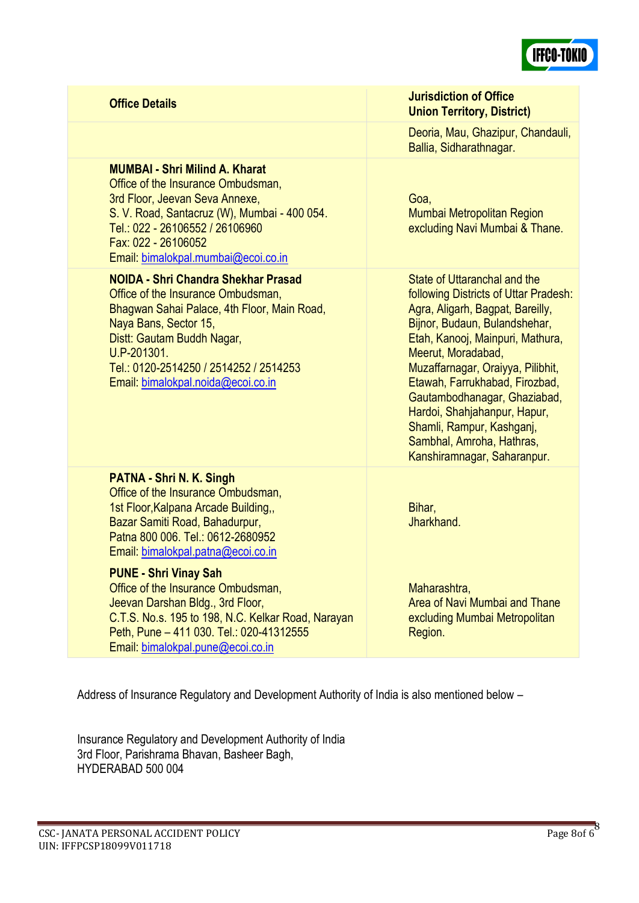

### **MUMBAI - Shri Milind A. Kharat**

Office of the Insurance Ombudsman, 3rd Floor, Jeevan Seva Annexe, S. V. Road, Santacruz (W), Mumbai - 400 054. Tel.: 022 - 26106552 / 26106960 Fax: 022 - 26106052 Email: [bimalokpal.mumbai@ecoi.co.in](mailto:bimalokpal.mumbai@ecoi.co.in)

#### **NOIDA - Shri Chandra Shekhar Prasad**

Office of the Insurance Ombudsman, Bhagwan Sahai Palace, 4th Floor, Main Road, Naya Bans, Sector 15, Distt: Gautam Buddh Nagar, U.P-201301. Tel.: 0120-2514250 / 2514252 / 2514253 Email: [bimalokpal.noida@ecoi.co.in](mailto:bimalokpal.noida@ecoi.co.in)

#### **PATNA - Shri N. K. Singh**

Office of the Insurance Ombudsman, 1st Floor,Kalpana Arcade Building,, Bazar Samiti Road, Bahadurpur, Patna 800 006. Tel: 0612-2680952 Email: [bimalokpal.patna@ecoi.co.in](mailto:bimalokpal.patna@ecoi.co.in%20.)

### **PUNE - Shri Vinay Sah**

Office of the Insurance Ombudsman, Jeevan Darshan Bldg., 3rd Floor, C.T.S. No.s. 195 to 198, N.C. Kelkar Road, Narayan Peth, Pune – 411 030. Tel.: 020-41312555 Email: [bimalokpal.pune@ecoi.co.in](mailto:bimalokpal.pune@ecoi.co.in)

**Office Details Jurisdiction of Office Union Territory, District)**

> Deoria, Mau, Ghazipur, Chandauli, Ballia, Sidharathnagar.

Goa, Mumbai Metropolitan Region excluding Navi Mumbai & Thane.

State of Uttaranchal and the following Districts of Uttar Pradesh: Agra, Aligarh, Bagpat, Bareilly, Bijnor, Budaun, Bulandshehar, Etah, Kanooj, Mainpuri, Mathura, Meerut, Moradabad, Muzaffarnagar, Oraiyya, Pilibhit, Etawah, Farrukhabad, Firozbad, Gautambodhanagar, Ghaziabad, Hardoi, Shahjahanpur, Hapur, Shamli, Rampur, Kashganj, Sambhal, Amroha, Hathras, Kanshiramnagar, Saharanpur.

Bihar, Jharkhand.

Maharashtra, Area of Navi Mumbai and Thane excluding Mumbai Metropolitan Region.

Address of Insurance Regulatory and Development Authority of India is also mentioned below –

Insurance Regulatory and Development Authority of India 3rd Floor, Parishrama Bhavan, Basheer Bagh, HYDERABAD 500 004